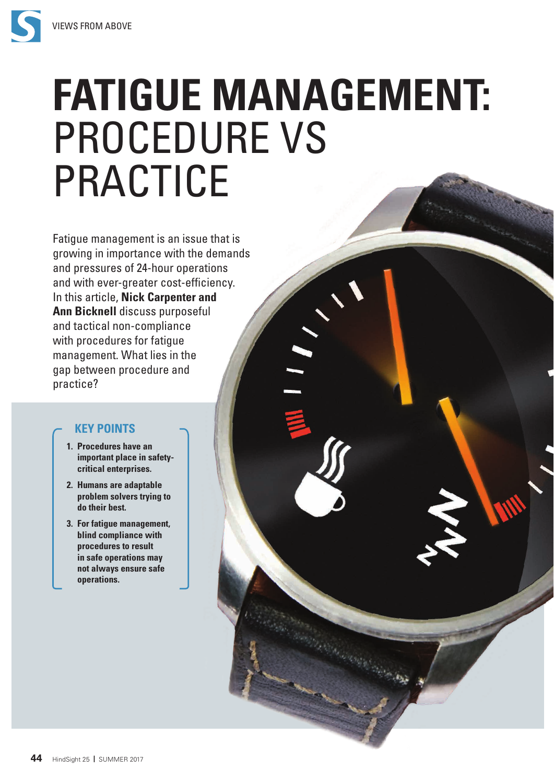

# **FATIGUE MANAGEMENT:** PROCEDURE VS PRACTICE Fatigue management is an issue that is

growing in importance with the demands and pressures of 24-hour operations and with ever-greater cost-efficiency. In this article, **Nick Carpenter and Ann Bicknell** discuss purposeful and tactical non-compliance with procedures for fatigue management. What lies in the gap between procedure and practice?

# **KEY POINTS**

- **1. Procedures have an important place in safetycritical enterprises.**
- **2. Humans are adaptable problem solvers trying to do their best.**
- **3. For fatigue management, blind compliance with procedures to result in safe operations may not always ensure safe operations.**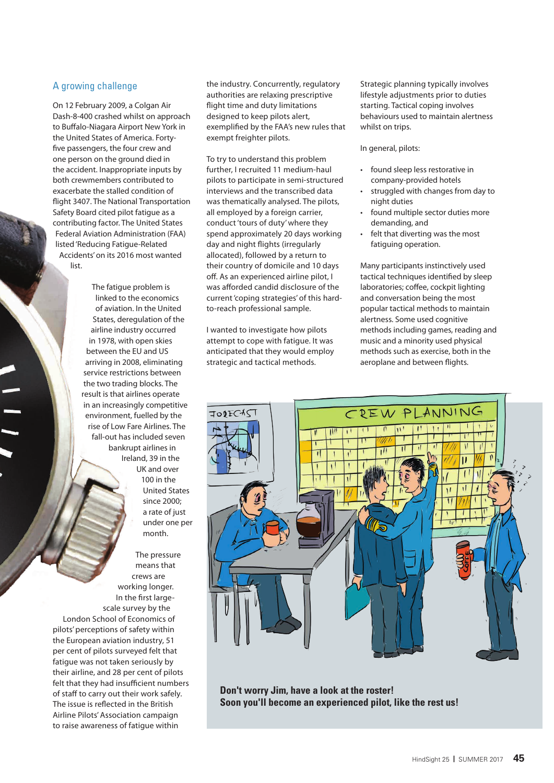### A growing challenge

On 12 February 2009, a Colgan Air Dash-8-400 crashed whilst on approach to Buffalo-Niagara Airport New York in the United States of America. Fortyfive passengers, the four crew and one person on the ground died in the accident. Inappropriate inputs by both crewmembers contributed to exacerbate the stalled condition of flight 3407. The National Transportation Safety Board cited pilot fatigue as a contributing factor. The United States Federal Aviation Administration (FAA) listed 'Reducing Fatigue-Related Accidents' on its 2016 most wanted list.

> The fatigue problem is linked to the economics of aviation. In the United States, deregulation of the airline industry occurred in 1978, with open skies between the EU and US arriving in 2008, eliminating service restrictions between the two trading blocks. The result is that airlines operate in an increasingly competitive environment, fuelled by the rise of Low Fare Airlines. The fall-out has included seven bankrupt airlines in Ireland, 39 in the UK and over 100 in the United States since 2000; a rate of just under one per month.

The pressure means that crews are working longer. In the first largescale survey by the London School of Economics of pilots' perceptions of safety within the European aviation industry, 51 per cent of pilots surveyed felt that fatigue was not taken seriously by their airline, and 28 per cent of pilots felt that they had insufficient numbers of staff to carry out their work safely. The issue is reflected in the British Airline Pilots' Association campaign to raise awareness of fatigue within

the industry. Concurrently, regulatory authorities are relaxing prescriptive flight time and duty limitations designed to keep pilots alert, exemplified by the FAA's new rules that exempt freighter pilots.

To try to understand this problem further, I recruited 11 medium-haul pilots to participate in semi-structured interviews and the transcribed data was thematically analysed. The pilots, all employed by a foreign carrier, conduct 'tours of duty' where they spend approximately 20 days working day and night flights (irregularly allocated), followed by a return to their country of domicile and 10 days off. As an experienced airline pilot, I was afforded candid disclosure of the current 'coping strategies' of this hardto-reach professional sample.

I wanted to investigate how pilots attempt to cope with fatigue. It was anticipated that they would employ strategic and tactical methods.

Strategic planning typically involves lifestyle adjustments prior to duties starting. Tactical coping involves behaviours used to maintain alertness whilst on trips.

In general, pilots:

- found sleep less restorative in company-provided hotels
- struggled with changes from day to night duties
- found multiple sector duties more demanding, and
- felt that diverting was the most fatiguing operation.

Many participants instinctively used tactical techniques identified by sleep laboratories; coffee, cockpit lighting and conversation being the most popular tactical methods to maintain alertness. Some used cognitive methods including games, reading and music and a minority used physical methods such as exercise, both in the aeroplane and between flights.



**Don't worry Jim, have a look at the roster! Soon you'll become an experienced pilot, like the rest us!**